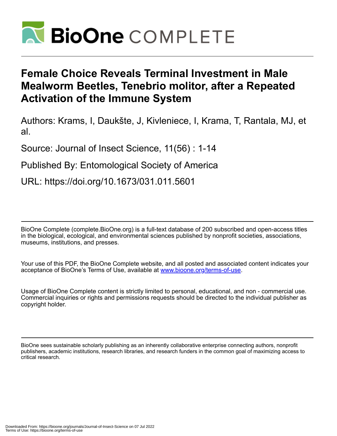

# **Female Choice Reveals Terminal Investment in Male Mealworm Beetles, Tenebrio molitor, after a Repeated Activation of the Immune System**

Authors: Krams, I, Daukšte, J, Kivleniece, I, Krama, T, Rantala, MJ, et al.

Source: Journal of Insect Science, 11(56) : 1-14

Published By: Entomological Society of America

URL: https://doi.org/10.1673/031.011.5601

BioOne Complete (complete.BioOne.org) is a full-text database of 200 subscribed and open-access titles in the biological, ecological, and environmental sciences published by nonprofit societies, associations, museums, institutions, and presses.

Your use of this PDF, the BioOne Complete website, and all posted and associated content indicates your acceptance of BioOne's Terms of Use, available at www.bioone.org/terms-of-use.

Usage of BioOne Complete content is strictly limited to personal, educational, and non - commercial use. Commercial inquiries or rights and permissions requests should be directed to the individual publisher as copyright holder.

BioOne sees sustainable scholarly publishing as an inherently collaborative enterprise connecting authors, nonprofit publishers, academic institutions, research libraries, and research funders in the common goal of maximizing access to critical research.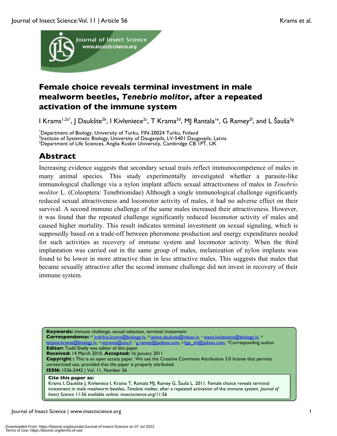

## **Female choice reveals terminal investment in male mealworm beetles,** *Tenebrio molitor***, after a repeated activation of the immune system**

I Krams<sup>1,2a\*</sup>, J Daukšte<sup>2b</sup>, J Kivleniece<sup>2c</sup>, T Krama<sup>2d</sup>, MJ Rantala<sup>1e</sup>, G Ramey<sup>2f</sup>, and L Šauša<sup>3g</sup>

<sup>1</sup>Department of Biology, University of Turku, FIN-20024 Turku, Finland <sup>2</sup><br><sup>2</sup>Institute of Systematic Biology, University of Daugaynils, U.V. 5401, Daug <sup>2</sup>Institute of Systematic Biology, University of Daugavpils, LV-5401 Daugavpils, Latvia <sup>3</sup>Department of Life Sciences, Anglia Ruskin University, Cambridge CB 1PT, UK

## **Abstract**

Increasing evidence suggests that secondary sexual traits reflect immunocompetence of males in many animal species. This study experimentally investigated whether a parasite-like immunological challenge via a nylon implant affects sexual attractiveness of males in *Tenebrio molitor* L. (Coleoptera: Tenebrionidae) Although a single immunological challenge significantly reduced sexual attractiveness and locomotor activity of males, it had no adverse effect on their survival. A second immune challenge of the same males increased their attractiveness. However, it was found that the repeated challenge significantly reduced locomotor activity of males and caused higher mortality. This result indicates terminal investment on sexual signaling, which is supposedly based on a trade-off between pheromone production and energy expenditures needed for such activities as recovery of immune system and locomotor activity. When the third implantation was carried out in the same group of males, melanization of nylon implants was found to be lower in more attractive than in less attractive males. This suggests that males that became sexually attractive after the second immune challenge did not invest in recovery of their immune system.

**Keywords:** immune challenge, sexual selection, terminal investment Correspondence: <sup>a\*</sup> indrikis.krams@biology.lv, b janina.daukste@inbox.lv, c inese.kivleniece@biology.lv, d tiana.krama@biology.lv, e mjranta@utu.fi, f g.ramey@pobox.com, 8 liga\_sh@yahoo.com, \*Corresponding author **Editor:** Todd Shelly was editor of this paper **Received:** 14 March 2010, **Accepted:** 16 January 2011 **Copyright :** This is an open access paper. We use the Creative Commons Attribution 3.0 license that permits unrestricted use, provided that the paper is properly attributed. **ISSN:** 1536-2442 | Vol. 11, Number 56 **Cite this paper as:**

Krams I, Daukšte J, Kivleniece I, Krama T, Rantala MJ, Ramey G, Šauša L. 2011. Female choice reveals terminal investment in male mealworm beetles, *Tenebrio molitor*, after a repeated activation of the immune system*. Journal of Insect Science* 11:56 available online: insectscience.org/11.56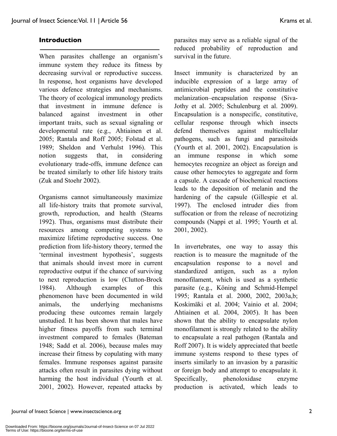## **Introduction**

When parasites challenge an organism's immune system they reduce its fitness by decreasing survival or reproductive success. In response, host organisms have developed various defence strategies and mechanisms. The theory of ecological immunology predicts that investment in immune defence is balanced against investment in other important traits, such as sexual signaling or developmental rate (e.g., Ahtiainen et al. 2005; Rantala and Roff 2005; Folstad et al. 1989; Sheldon and Verhulst 1996). This notion suggests that, in considering evolutionary trade-offs, immune defence can be treated similarly to other life history traits (Zuk and Stoehr 2002).

Organisms cannot simultaneously maximize all life-history traits that promote survival, growth, reproduction, and health (Stearns 1992). Thus, organisms must distribute their resources among competing systems to maximize lifetime reproductive success. One prediction from life-history theory, termed the 'terminal investment hypothesis', suggests that animals should invest more in current reproductive output if the chance of surviving to next reproduction is low (Clutton-Brock 1984). Although examples of this phenomenon have been documented in wild animals, the underlying mechanisms producing these outcomes remain largely unstudied. It has been shown that males have higher fitness payoffs from such terminal investment compared to females (Bateman 1948; Sadd et al. 2006), because males may increase their fitness by copulating with many females. Immune responses against parasite attacks often result in parasites dying without harming the host individual (Yourth et al. 2001, 2002). However, repeated attacks by

parasites may serve as a reliable signal of the reduced probability of reproduction and survival in the future.

Insect immunity is characterized by an inducible expression of a large array of antimicrobial peptides and the constitutive melanization–encapsulation response (Siva-Jothy et al. 2005; Schulenburg et al. 2009). Encapsulation is a nonspecific, constitutive, cellular response through which insects defend themselves against multicellular pathogens, such as fungi and parasitoids (Yourth et al. 2001, 2002). Encapsulation is an immune response in which some hemocytes recognize an object as foreign and cause other hemocytes to aggregate and form a capsule. A cascade of biochemical reactions leads to the deposition of melanin and the hardening of the capsule (Gillespie et al. 1997). The enclosed intruder dies from suffocation or from the release of necrotizing compounds (Nappi et al. 1995; Yourth et al. 2001, 2002).

In invertebrates, one way to assay this reaction is to measure the magnitude of the encapsulation response to a novel and standardized antigen, such as a nylon monofilament, which is used as a synthetic parasite (e.g., Köning and Schmid-Hempel 1995; Rantala et al. 2000, 2002, 2003a,b; Koskimäki et al. 2004; Vainio et al. 2004; Ahtiainen et al. 2004, 2005). It has been shown that the ability to encapsulate nylon monofilament is strongly related to the ability to encapsulate a real pathogen (Rantala and Roff 2007). It is widely appreciated that beetle immune systems respond to these types of inserts similarly to an invasion by a parasitic or foreign body and attempt to encapsulate it. Specifically, phenoloxidase enzyme production is activated, which leads to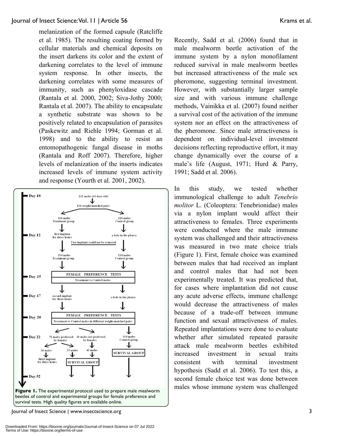melanization of the formed capsule (Ratcliffe et al. 1985). The resulting coating formed by cellular materials and chemical deposits on the insert darkens its color and the extent of darkening correlates to the level of immune system response. In other insects, the darkening correlates with some measures of immunity, such as phenyloxidase cascade (Rantala et al*.* 2000, 2002; Siva-Jothy 2000; Rantala et al. 2007). The ability to encapsulate a synthetic substrate was shown to be positively related to encapsulation of parasites (Paskewitz and Riehle 1994; Gorman et al. 1998) and to the ability to resist an entomopathogenic fungal disease in moths (Rantala and Roff 2007). Therefore, higher levels of melanization of the inserts indicates increased levels of immune system activity and response (Yourth et al. 2001, 2002).



Journal of Insect Science | www.insectscience.org 3

Recently, Sadd et al. (2006) found that in male mealworm beetle activation of the immune system by a nylon monofilament reduced survival in male mealworm beetles but increased attractiveness of the male sex pheromone, suggesting terminal investment. However, with substantially larger sample size and with various immune challenge methods, Vainikka et al. (2007) found neither a survival cost of the activation of the immune system nor an effect on the attractiveness of the pheromone. Since male attractiveness is dependent on individual-level investment decisions reflecting reproductive effort, it may change dynamically over the course of a male's life (August, 1971; Hurd & Parry, 1991; Sadd et al. 2006).

In this study, we tested whether immunological challenge to adult *Tenebrio molitor* L. (Coleoptera: Tenebrionidae) males via a nylon implant would affect their attractiveness to females. Three experiments were conducted where the male immune system was challenged and their attractiveness was measured in two mate choice trials (Figure 1). First, female choice was examined between males that had received an implant and control males that had not been experimentally treated. It was predicted that, for cases where implantation did not cause any acute adverse effects, immune challenge would decrease the attractiveness of males because of a trade-off between immune function and sexual attractiveness of males. Repeated implantations were done to evaluate whether after simulated repeated parasite attack male mealworm beetles exhibited increased investment in sexual traits consistent with terminal investment hypothesis (Sadd et al. 2006). To test this, a second female choice test was done between males whose immune system was challenged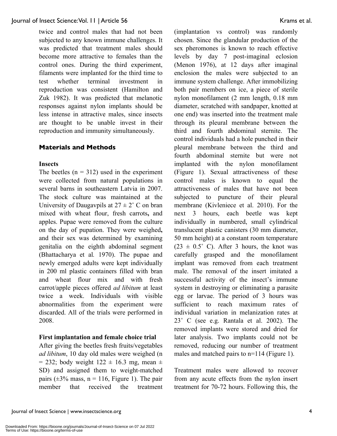twice and control males that had not been subjected to any known immune challenges. It was predicted that treatment males should become more attractive to females than the control ones. During the third experiment, filaments were implanted for the third time to test whether terminal investment in reproduction was consistent (Hamilton and Zuk 1982). It was predicted that melanotic responses against nylon implants should be less intense in attractive males, since insects are thought to be unable invest in their reproduction and immunity simultaneously.

## **Materials and Methods**

#### **Insects**

The beetles  $(n = 312)$  used in the experiment were collected from natural populations in several barns in southeastern Latvia in 2007. The stock culture was maintained at the University of Daugavpils at  $27 \pm 2$ ° C on bran mixed with wheat flour, fresh carrots**,** and apples. Pupae were removed from the culture on the day of pupation. They were weighed**,** and their sex was determined by examining genitalia on the eighth abdominal segment (Bhattacharya et al*.* 1970). The pupae and newly emerged adults were kept individually in 200 ml plastic containers filled with bran and wheat flour mix and with fresh carrot/apple pieces offered *ad libitum* at least twice a week. Individuals with visible abnormalities from the experiment were discarded. All of the trials were performed in 2008.

## **First implantation and female choice trial**

After giving the beetles fresh fruits/vegetables *ad libitum*, 10 day old males were weighed (n  $= 232$ ; body weight  $122 \pm 16.3$  mg, mean  $\pm$ SD) and assigned them to weight-matched pairs ( $\pm 3\%$  mass, n = 116, Figure 1). The pair member that received the treatment (implantation vs control) was randomly chosen. Since the glandular production of the sex pheromones is known to reach effective levels by day 7 post-imaginal eclosion (Menon 1976), at 12 days after imaginal enclosion the males were subjected to an immune system challenge. After immobilizing both pair members on ice, a piece of sterile nylon monofilament (2 mm length, 0.18 mm diameter, scratched with sandpaper, knotted at one end) was inserted into the treatment male through its pleural membrane between the third and fourth abdominal sternite. The control individuals had a hole punched in their pleural membrane between the third and fourth abdominal sternite but were not implanted with the nylon monofilament (Figure 1). Sexual attractiveness of these control males is known to equal the attractiveness of males that have not been subjected to puncture of their pleural membrane (Kivleniece et al. 2010). For the next 3 hours, each beetle was kept individually in numbered, small cylindrical translucent plastic canisters (30 mm diameter, 50 mm height) at a constant room temperature  $(23 \pm 0.5^{\circ} \text{ C})$ . After 3 hours, the knot was carefully grasped and the monofilament implant was removed from each treatment male. The removal of the insert imitated a successful activity of the insect's immune system in destroying or eliminating a parasite egg or larvae. The period of 3 hours was sufficient to reach maximum rates of individual variation in melanization rates at 23˚ C (see e.g. Rantala et al. 2002). The removed implants were stored and dried for later analysis. Two implants could not be removed, reducing our number of treatment males and matched pairs to n=114 (Figure 1).

Treatment males were allowed to recover from any acute effects from the nylon insert treatment for 70-72 hours. Following this, the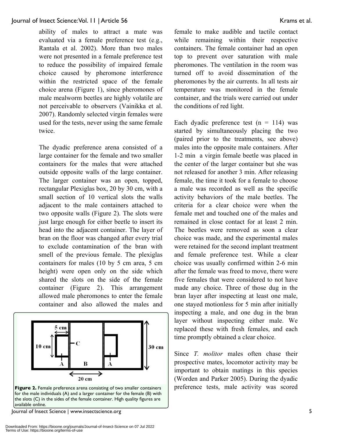ability of males to attract a mate was evaluated via a female preference test (e.g., Rantala et al. 2002). More than two males were not presented in a female preference test to reduce the possibility of impaired female choice caused by pheromone interference within the restricted space of the female choice arena (Figure 1), since pheromones of male mealworm beetles are highly volatile are not perceivable to observers (Vainikka et al. 2007). Randomly selected virgin females were used for the tests, never using the same female twice.

The dyadic preference arena consisted of a large container for the female and two smaller containers for the males that were attached outside opposite walls of the large container. The larger container was an open, topped, rectangular Plexiglas box, 20 by 30 cm, with a small section of 10 vertical slots the walls adjacent to the male containers attached to two opposite walls (Figure 2). The slots were just large enough for either beetle to insert its head into the adjacent container. The layer of bran on the floor was changed after every trial to exclude contamination of the bran with smell of the previous female. The plexiglas containers for males (10 by 5 cm area, 5 cm height) were open only on the side which shared the slots on the side of the female container (Figure 2). This arrangement allowed male pheromones to enter the female container and also allowed the males and



for the male individuals (A) and a larger container for the female (B) with the slots (C) in the sides of the female container. High quality figures are available online.

Journal of Insect Science | www.insectscience.org 5

female to make audible and tactile contact while remaining within their respective containers. The female container had an open top to prevent over saturation with male pheromones. The ventilation in the room was turned off to avoid dissemination of the pheromones by the air currents. In all tests air temperature was monitored in the female container, and the trials were carried out under the conditions of red light.

Each dyadic preference test  $(n = 114)$  was started by simultaneously placing the two (paired prior to the treatments, see above) males into the opposite male containers. After 1-2 min a virgin female beetle was placed in the center of the larger container but she was not released for another 3 min. After releasing female, the time it took for a female to choose a male was recorded as well as the specific activity behaviors of the male beetles. The criteria for a clear choice were when the female met and touched one of the males and remained in close contact for at least 2 min. The beetles were removed as soon a clear choice was made, and the experimental males were retained for the second implant treatment and female preference test. While a clear choice was usually confirmed within 2-6 min after the female was freed to move, there were five females that were considered to not have made any choice. Three of those dug in the bran layer after inspecting at least one male, one stayed motionless for 5 min after initially inspecting a male, and one dug in the bran layer without inspecting either male. We replaced these with fresh females, and each time promptly obtained a clear choice.

Since *T. molitor* males often chase their prospective mates, locomotor activity may be important to obtain matings in this species (Worden and Parker 2005). During the dyadic preference tests, male activity was scored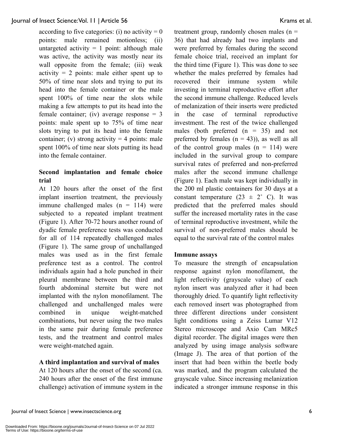according to five categories: (i) no activity  $= 0$ points: male remained motionless; (ii) untargeted activity  $= 1$  point: although male was active, the activity was mostly near its wall opposite from the female; (iii) weak activity  $= 2$  points: male either spent up to 50% of time near slots and trying to put its head into the female container or the male spent 100% of time near the slots while making a few attempts to put its head into the female container; (iv) average response  $= 3$ points: male spent up to 75% of time near slots trying to put its head into the female container; (v) strong activity  $=$  4 points: male spent 100% of time near slots putting its head into the female container.

## **Second implantation and female choice trial**

At 120 hours after the onset of the first implant insertion treatment, the previously immune challenged males  $(n = 114)$  were subjected to a repeated implant treatment (Figure 1). After 70-72 hours another round of dyadic female preference tests was conducted for all of 114 repeatedly challenged males (Figure 1). The same group of unchallanged males was used as in the first female preference test as a control. The control individuals again had a hole punched in their pleural membrane between the third and fourth abdominal sternite but were not implanted with the nylon monofilament. The challenged and unchallenged males were combined in unique weight-matched combinations, but never using the two males in the same pair during female preference tests, and the treatment and control males were weight-matched again.

## **A third implantation and survival of males**

At 120 hours after the onset of the second (ca. 240 hours after the onset of the first immune challenge) activation of immune system in the treatment group, randomly chosen males  $(n =$ 36) that had already had two implants and were preferred by females during the second female choice trial, received an implant for the third time (Figure 1). This was done to see whether the males preferred by females had recovered their immune system while investing in terminal reproductive effort after the second immune challenge. Reduced levels of melanization of their inserts were predicted in the case of terminal reproductive investment. The rest of the twice challenged males (both preferred  $(n = 35)$  and not preferred by females  $(n = 43)$ , as well as all of the control group males  $(n = 114)$  were included in the survival group to compare survival rates of preferred and non-preferred males after the second immune challenge (Figure 1). Each male was kept individually in the 200 ml plastic containers for 30 days at a constant temperature  $(23 \pm 2^{\circ} \text{ C})$ . It was predicted that the preferred males should suffer the increased mortality rates in the case of terminal reproductive investment, while the survival of non-preferred males should be equal to the survival rate of the control males

## **Immune assays**

To measure the strength of encapsulation response against nylon monofilament, the light reflectivity (grayscale value) of each nylon insert was analyzed after it had been thoroughly dried. To quantify light reflectivity each removed insert was photographed from three different directions under consistent light conditions using a Zeiss Lumar V12 Stereo microscope and Axio Cam MRc5 digital recorder. The digital images were then analyzed by using image analysis software (Image J). The area of that portion of the insert that had been within the beetle body was marked, and the program calculated the grayscale value. Since increasing melanization indicated a stronger immune response in this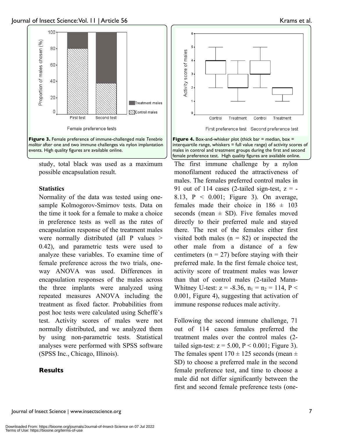

study, total black was used as a maximum possible encapsulation result.

#### **Statistics**

Normality of the data was tested using onesample Kolmogorov-Smirnov tests. Data on the time it took for a female to make a choice in preference tests as well as the rates of encapsulation response of the treatment males were normally distributed (all  $\overline{P}$  values  $\geq$ 0.42), and parametric tests were used to analyze these variables. To examine time of female preference across the two trials, oneway ANOVA was used. Differences in encapsulation responses of the males across the three implants were analyzed using repeated measures ANOVA including the treatment as fixed factor. Probabilities from post hoc tests were calculated using Scheffé's test. Activity scores of males were not normally distributed, and we analyzed them by using non-parametric tests. Statistical analyses were performed with SPSS software (SPSS Inc., Chicago, Illinois).

## **Results**





interquartile range, whiskers = full value range) of activity scores of males in control and treatment groups during the first and second female preference test. High quality figures are available online.

The first immune challenge by a nylon monofilament reduced the attractiveness of males. The females preferred control males in 91 out of 114 cases (2-tailed sign-test,  $z = -$ 8.13, P < 0.001; Figure 3). On average, females made their choice in  $186 \pm 103$ seconds (mean  $\pm$  SD). Five females moved directly to their preferred male and stayed there. The rest of the females either first visited both males ( $n = 82$ ) or inspected the other male from a distance of a few centimeters ( $n = 27$ ) before staying with their preferred male. In the first female choice test, activity score of treatment males was lower than that of control males (2-tailed Mann-Whitney U-test:  $z = -8.36$ ,  $n_1 = n_2 = 114$ ,  $P <$ 0.001, Figure 4), suggesting that activation of immune response reduces male activity.

Following the second immune challenge, 71 out of 114 cases females preferred the treatment males over the control males (2 tailed sign-test:  $z = 5.00$ ,  $P < 0.001$ ; Figure 3). The females spent  $170 \pm 125$  seconds (mean  $\pm$ SD) to choose a preferred male in the second female preference test, and time to choose a male did not differ significantly between the first and second female preference tests (one-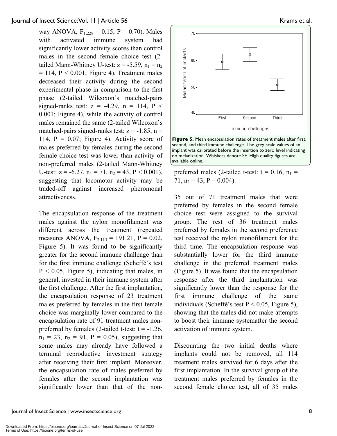way ANOVA,  $F_{1,228} = 0.15$ ,  $P = 0.70$ ). Males with activated immune system had significantly lower activity scores than control males in the second female choice test (2 tailed Mann-Whitney U-test:  $z = -5.59$ ,  $n_1 = n_2$  $= 114$ ,  $P < 0.001$ ; Figure 4). Treatment males decreased their activity during the second experimental phase in comparison to the first phase (2-tailed Wilcoxon's matched-pairs signed-ranks test:  $z = -4.29$ ,  $n = 114$ ,  $P <$ 0.001; Figure 4), while the activity of control males remained the same (2-tailed Wilcoxon's matched-pairs signed-ranks test:  $z = -1.85$ ,  $n =$ 114,  $P = 0.07$ ; Figure 4). Activity score of males preferred by females during the second female choice test was lower than activity of non-preferred males (2-tailed Mann-Whitney U-test:  $z = -6.27$ ,  $n_1 = 71$ ,  $n_2 = 43$ ,  $P < 0.001$ ), suggesting that locomotor activity may be traded-off against increased pheromonal attractiveness.

The encapsulation response of the treatment males against the nylon monofilament was different across the treatment (repeated measures ANOVA,  $F_{2,113} = 191.21$ ,  $P = 0.02$ , Figure 5). It was found to be significantly greater for the second immune challenge than for the first immune challenge (Scheffé's test  $P < 0.05$ , Figure 5), indicating that males, in general, invested in their immune system after the first challenge. After the first implantation, the encapsulation response of 23 treatment males preferred by females in the first female choice was marginally lower compared to the encapsulation rate of 91 treatment males nonpreferred by females (2-tailed t-test:  $t = -1.26$ ,  $n_1 = 23$ ,  $n_2 = 91$ ,  $P = 0.05$ ), suggesting that some males may already have followed a terminal reproductive investment strategy after receiving their first implant. Moreover, the encapsulation rate of males preferred by females after the second implantation was significantly lower than that of the non-





**Figure 5.** Mean encapsulation rates of treatment males after first, second, and third immune challenge. The grey-scale values of an implant was calibrated before the insertion to zero level indicating no melanization. Whiskers denote SE. High quality figures are available online.

preferred males (2-tailed t-test:  $t = 0.16$ ,  $n_1 =$ 71,  $n_2 = 43$ ,  $P = 0.004$ ).

35 out of 71 treatment males that were preferred by females in the second female choice test were assigned to the survival group. The rest of 36 treatment males preferred by females in the second preference test received the nylon monofilament for the third time. The encapsulation response was substantially lower for the third immune challenge in the preferred treatment males (Figure 5). It was found that the encapsulation response after the third implantation was significantly lower than the response for the first immune challenge of the same individuals (Scheffé's test  $P < 0.05$ , Figure 5), showing that the males did not make attempts to boost their immune systemafter the second activation of immune system.

Discounting the two initial deaths where implants could not be removed, all 114 treatment males survived for 6 days after the first implantation. In the survival group of the treatment males preferred by females in the second female choice test, all of 35 males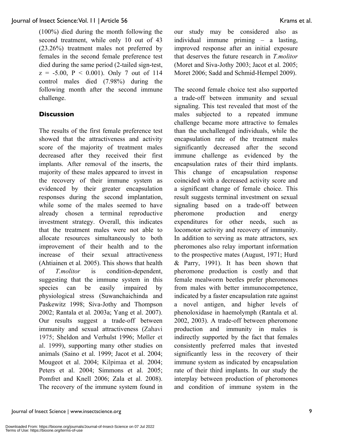(100%) died during the month following the second treatment, while only 10 out of 43 (23.26%) treatment males not preferred by females in the second female preference test died during the same period (2-tailed sign-test,  $z = -5.00$ ,  $P < 0.001$ ). Only 7 out of 114 control males died (7.98%) during the following month after the second immune challenge.

## **Discussion**

The results of the first female preference test showed that the attractiveness and activity score of the majority of treatment males decreased after they received their first implants. After removal of the inserts, the majority of these males appeared to invest in the recovery of their immune system as evidenced by their greater encapsulation responses during the second implantation, while some of the males seemed to have already chosen a terminal reproductive investment strategy. Overall, this indicates that the treatment males were not able to allocate resources simultaneously to both improvement of their health and to the increase of their sexual attractiveness (Ahtiainen et al*.* 2005). This shows that health of *T.molitor* is condition-dependent, suggesting that the immune system in this species can be easily impaired by physiological stress (Suwanchaichinda and Paskewitz 1998; Siva-Jothy and Thompson 2002; Rantala et al*.* 2003a; Yang et al. 2007). Our results suggest a trade-off between immunity and sexual attractiveness (Zahavi 1975; Sheldon and Verhulst 1996; Møller et al. 1999), supporting many other studies on animals (Saino et al. 1999; Jacot et al. 2004; Mougeot et al. 2004; Kilpimaa et al. 2004; Peters et al. 2004; Simmons et al. 2005; Pomfret and Knell 2006; Zala et al. 2008). The recovery of the immune system found in our study may be considered also as individual immune priming – a lasting, improved response after an initial exposure that deserves the future research in *T.molitor* (Moret and Siva-Jothy 2003; Jacot et al. 2005; Moret 2006; Sadd and Schmid-Hempel 2009).

The second female choice test also supported a trade-off between immunity and sexual signaling. This test revealed that most of the males subjected to a repeated immune challenge became more attractive to females than the unchallenged individuals, while the encapsulation rate of the treatment males significantly decreased after the second immune challenge as evidenced by the encapsulation rates of their third implants. This change of encapsulation response coincided with a decreased activity score and a significant change of female choice. This result suggests terminal investment on sexual signaling based on a trade-off between pheromone production and energy expenditures for other needs, such as locomotor activity and recovery of immunity. In addition to serving as mate attractors, sex pheromones also relay important information to the prospective mates (August, 1971; Hurd & Parry, 1991). It has been shown that pheromone production is costly and that female mealworm beetles prefer pheromones from males with better immunocompetence, indicated by a faster encapsulation rate against a novel antigen, and higher levels of phenoloxidase in haemolymph (Rantala et al. 2002, 2003). A trade-off between pheromone production and immunity in males is indirectly supported by the fact that females consistently preferred males that invested significantly less in the recovery of their immune system as indicated by encapsulation rate of their third implants. In our study the interplay between production of pheromones and condition of immune system in the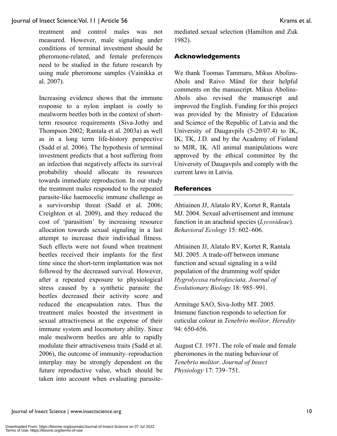treatment and control males was not measured. However, male signaling under conditions of terminal investment should be pheromone-related, and female preferences need to be studied in the future research by using male pheromone samples (Vainikka et al. 2007).

Increasing evidence shows that the immune response to a nylon implant is costly to mealworm beetles both in the context of shortterm resource requirements (Siva-Jothy and Thompson 2002; Rantala et al. 2003a) as well as in a long term life-history perspective (Sadd et al. 2006). The hypothesis of terminal investment predicts that a host suffering from an infection that negatively affects its survival probability should allocate its resources towards immediate reproduction. In our study the treatment males responded to the repeated parasite-like haemocelic immune challenge as a survivorship threat (Sadd et al. 2006; Creighton et al. 2009), and they reduced the cost of 'parasitism' by increasing resource allocation towards sexual signaling in a last attempt to increase their individual fitness. Such effects were not found when treatment beetles received their implants for the first time since the short-term implantation was not followed by the decreased survival. However, after a repeated exposure to physiological stress caused by a synthetic parasite the beetles decreased their activity score and reduced the encapsulation rates. Thus the treatment males boosted the investment in sexual attractiveness at the expense of their immune system and locomotory ability. Since male mealworm beetles are able to rapidly modulate their attractiveness traits (Sadd et al. 2006), the outcome of immunity–reproduction interplay may be strongly dependent on the future reproductive value, which should be taken into account when evaluating parasitemediated sexual selection (Hamilton and Zuk 1982).

## **Acknowledgements**

We thank Toomas Tammaru, Mikus Abolins-Abols and Raivo Mänd for their helpful comments on the manuscript. Mikus Abolins-Abols also revised the manuscript and improved the English. Funding for this project was provided by the Ministry of Education and Science of the Republic of Latvia and the University of Daugavpils (5-20/07.4) to IK, IK, TK, J.D. and by the Academy of Finland to MJR, IK. All animal manipulations were approved by the ethical committee by the University of Daugavpils and comply with the current laws in Latvia.

## **References**

Ahtiainen JJ, Alatalo RV, Kortet R, Rantala MJ. 2004. Sexual advertisement and immune function in an arachnid species (*Lycosideae*). *Behavioral Ecology* 15: 602–606.

Ahtiainen JJ, Alatalo RV, Kortet R, Rantala MJ. 2005. A trade-off between immune function and sexual signaling in a wild population of the drumming wolf spider *Hygrolycosa rubrofasciata*. *Journal of Evolutionary Biology* 18: 985–991.

Armitage SAO, Siva-Jothy MT. 2005. Immune function responds to selection for cuticular colour in *Tenebrio molitor*. *Heredity* 94: 650-656.

August CJ. 1971. The role of male and female pheromones in the mating behaviour of *Tenebrio molitor*. *Journal of Insect Physiology* 17: 739–751.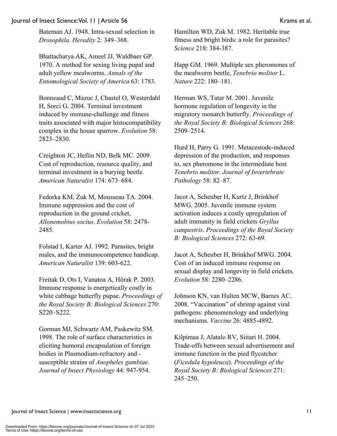Bateman AJ. 1948. Intra-sexual selection in *Drosophila*. *Heredity* 2: 349–368.

Bhattacharya AK, Ameel JJ, Waldbaer GP. 1970. A method for sexing living pupal and adult yellow mealworms. *Annals of the Entomological Society of America* 63: 1783.

Bonneaud C, Mazuc J, Chastel O, Westerdahl H, Sorci G. 2004. Terminal investment induced by immune-challenge and fitness traits associated with major histocompatibility complex in the house sparrow. *Evolution* 58: 2823–2830.

Creighton JC, Heflin ND, Belk MC. 2009. Cost of reproduction, resource quality, and terminal investment in a burying beetle. *American Naturalist* 174: 673–684.

Fedorka KM, Zuk M, Mousseau TA. 2004. Immune suppression and the cost of reproduction in the ground cricket, *Allonemobius socius*. *Evolution* 58: 2478- 2485.

Folstad I, Karter AJ. 1992. Parasites, bright males, and the immunocompetence handicap. *American Naturalist* 139: 603-622.

Freitak D, Ots I, Vanatoa A, Hörak P. 2003. Immune response is energetically costly in white cabbage butterfly pupae. *Proceedings of the Royal Society B: Biological Sciences* 270: S220–S222.

Gorman MJ, Schwartz AM, Paskewitz SM. 1998. The role of surface characteristics in eliciting humoral encapsulation of foreign bodies in Plasmodium-refractory and susceptible strains of *Anopheles gambiae*. *Journal of Insect Physiology* 44: 947-954.

Hamilton WD, Zuk M. 1982. Heritable true fitness and bright birds: a role for parasites? *Science* 218: 384-387.

Happ GM. 1969. Multiple sex pheromones of the mealworm beetle, *Tenebrio molitor* L. *Nature* 222: 180–181.

Herman WS, Tatar M. 2001. Juvenile hormone regulation of longevity in the migratory monarch butterfly. *Proceedings of the Royal Society B: Biological Sciences* 268: 2509–2514.

Hurd H, Parry G. 1991. Metacestode-induced depression of the production, and responses to, sex pheromone in the intermediate host *Tenebrio molitor*. *Journal of Invertebrate Pathology* 58: 82–87.

Jacot A, Scheuber H, Kurtz J, Brinkhof MWG. 2005. Juvenile immune system activation induces a costly upregulation of adult immunity in field crickets *Gryllus campestris*. *Proceedings of the Royal Society B: Biological Sciences* 272: 63-69.

Jacot A, Scheuber H, Brinkhof MWG. 2004. Cost of an induced immune response on sexual display and longevity in field crickets. *Evolution* 58: 2280–2286.

Johnson KN, van Hulten MCW, Barnes AC. 2008. "Vaccination" of shrimp against viral pathogens: phenomenology and underlying mechanisms. *Vaccine* 26: 4885-4892.

Kilpimaa J, Alatalo RV, Siitari H. 2004. Trade-offs between sexual advertisement and immune function in the pied flycatcher (*Ficedula hypoleuca*). *Proceedings of the Royal Society B: Biological Sciences* 271: 245–250.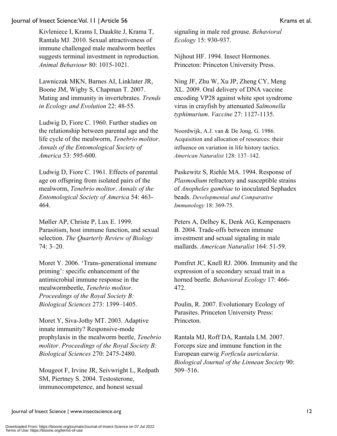Kivleniece I, Krams I, Daukšte J, Krama T, Rantala MJ. 2010. Sexual attractiveness of immune challenged male mealworm beetles suggests terminal investment in reproduction. *Animal Behaviour* 80: 1015-1021.

Lawniczak MKN, Barnes AI, Linklater JR, Boone JM, Wigby S, Chapman T. 2007. Mating and immunity in invertebrates. *Trends in Ecology and Evolution* 22: 48-55.

Ludwig D, Fiore C. 1960. Further studies on the relationship between parental age and the life cycle of the mealworm, *Tenebrio molitor*. *Annals of the Entomological Society of America* 53: 595-600.

Ludwig D, Fiore C. 1961. Effects of parental age on offspring from isolated pairs of the mealworm, *Tenebrio molitor*. *Annals of the Entomological Society of America* 54: 463- 464.

Møller AP, Christe P, Lux E. 1999. Parasitism, host immune function, and sexual selection. *The Quarterly Review of Biology* 74: 3–20.

Moret Y. 2006. 'Trans-generational immune priming': specific enhancement of the antimicrobial immune response in the mealwormbeetle, *Tenebrio molitor*. *Proceedings of the Royal Society B: Biological Sciences* 273: 1399–1405.

Moret Y, Siva-Jothy MT. 2003. Adaptive innate immunity? Responsive-mode prophylaxis in the mealworm beetle, *Tenebrio molitor*. *Proceedings of the Royal Society B: Biological Sciences* 270: 2475-2480.

Mougeot F, Irvine JR, Seivwright L, Redpath SM, Piertney S. 2004. Testosterone, immunocompetence, and honest sexual

signaling in male red grouse. *Behavioral Ecology* 15: 930-937.

Nijhout HF. 1994. Insect Hormones. Princeton: Princeton University Press.

Ning JF, Zhu W, Xu JP, Zheng CY, Meng XL. 2009. Oral delivery of DNA vaccine encoding VP28 against white spot syndrome virus in crayfish by attenuated *Salmonella typhimurium*. *Vaccine* 27: 1127-1135.

Noordwijk, A.J. van & De Jong, G. 1986. Acquisition and allocation of resources: their influence on variation in life history tactics. *American Naturalist* 128: 137–142.

Paskewitz S, Riehle MA. 1994. Response of *Plasmodium* refractory and susceptible strains of *Anopheles gambiae* to inoculated Sephadex beads. *Developmental and Comparative Immunology* 18: 369-75.

Peters A, Delhey K, Denk AG, Kempenaers B. 2004. Trade-offs between immune investment and sexual signaling in male mallards. *American Naturalist* 164: 51-59.

Pomfret JC, Knell RJ. 2006. Immunity and the expression of a secondary sexual trait in a horned beetle. *Behavioral Ecology* 17: 466- 472.

Poulin, R. 2007. Evolutionary Ecology of Parasites. Princeton University Press: Princeton.

Rantala MJ, Roff DA, Rantala LM. 2007. Forceps size and immune function in the European earwig *Forficula auricularia*. *Biological Journal of the Linnean Society* 90: 509–516.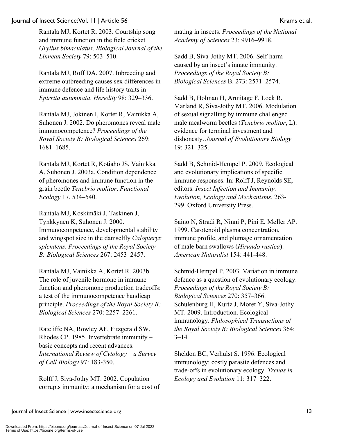Rantala MJ, Kortet R. 2003. Courtship song and immune function in the field cricket *Gryllus bimaculatus*. *Biological Journal of the Linnean Society* 79: 503–510.

Rantala MJ, Roff DA. 2007. Inbreeding and extreme outbreeding causes sex differences in immune defence and life history traits in *Epirrita autumnata*. *Heredity* 98: 329–336.

Rantala MJ, Jokinen I, Kortet R, Vainikka A, Suhonen J. 2002. Do pheromones reveal male immunocompetence? *Proceedings of the Royal Society B: Biological Sciences* 269: 1681–1685.

Rantala MJ, Kortet R, Kotiaho JS, Vainikka A, Suhonen J. 2003a. Condition dependence of pheromones and immune function in the grain beetle *Tenebrio molitor*. *Functional Ecology* 17, 534–540.

Rantala MJ, Koskimäki J, Taskinen J, Tynkkynen K, Suhonen J. 2000. Immunocompetence, developmental stability and wingspot size in the damselfly *Calopteryx splendens*. *Proceedings of the Royal Society B: Biological Sciences* 267: 2453–2457.

Rantala MJ, Vainikka A, Kortet R. 2003b. The role of juvenile hormone in immune function and pheromone production tradeoffs: a test of the immunocompetence handicap principle. *Proceedings of the Royal Society B: Biological Sciences* 270: 2257–2261.

Ratcliffe NA, Rowley AF, Fitzgerald SW, Rhodes CP. 1985. Invertebrate immunity – basic concepts and recent advances. *International Review of Cytology – a Survey of Cell Biology* 97: 183-350.

Rolff J, Siva-Jothy MT. 2002. Copulation corrupts immunity: a mechanism for a cost of mating in insects. *Proceedings of the National Academy of Sciences* 23: 9916–9918.

Sadd B, Siva-Jothy MT. 2006. Self-harm caused by an insect's innate immunity. *Proceedings of the Royal Society B: Biological Sciences* B. 273: 2571–2574.

Sadd B, Holman H, Armitage F, Lock R, Marland R, Siva-Jothy MT. 2006. Modulation of sexual signalling by immune challenged male mealworm beetles (*Tenebrio molitor*, L): evidence for terminal investment and dishonesty. *Journal of Evolutionary Biology* 19: 321–325.

Sadd B, Schmid-Hempel P. 2009. Ecological and evolutionary implications of specific immune responses. In: Rolff J, Reynolds SE, editors. *Insect Infection and Immunity: Evolution, Ecology and Mechanisms*, 263- 299. Oxford University Press.

Saino N, Stradi R, Ninni P, Pini E, Møller AP. 1999. Carotenoid plasma concentration, immune profile, and plumage ornamentation of male barn swallows (*Hirundo rustica*). *American Naturalist* 154: 441-448.

Schmid-Hempel P. 2003. Variation in immune defence as a question of evolutionary ecology. *Proceedings of the Royal Society B: Biological Sciences* 270: 357–366. Schulenburg H, Kurtz J, Moret Y, Siva-Jothy MT. 2009. Introduction. Ecological immunology. *Philosophical Transactions of the Royal Society B: Biological Sciences* 364:  $3 - 14$ .

Sheldon BC, Verhulst S. 1996. Ecological immunology: costly parasite defences and trade-offs in evolutionary ecology. *Trends in Ecology and Evolution* 11: 317–322.